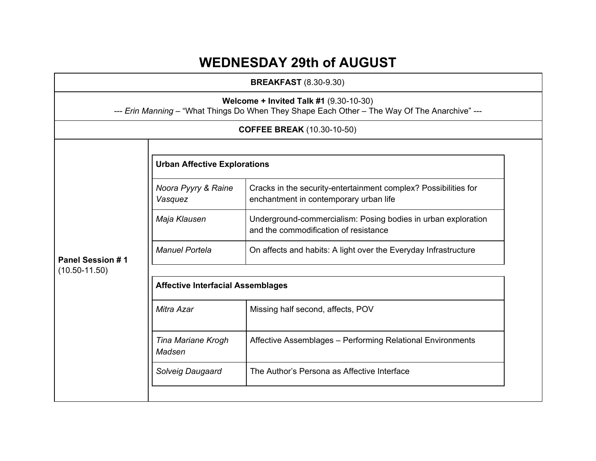## **WEDNESDAY 29th of AUGUST**

|                   | <b>BREAKFAST</b> (8.30-9.30)             |                                                                                                                                         |  |
|-------------------|------------------------------------------|-----------------------------------------------------------------------------------------------------------------------------------------|--|
|                   |                                          | Welcome + Invited Talk #1 (9.30-10-30)<br>--- Erin Manning - "What Things Do When They Shape Each Other - The Way Of The Anarchive" --- |  |
|                   |                                          | <b>COFFEE BREAK (10.30-10-50)</b>                                                                                                       |  |
|                   | <b>Urban Affective Explorations</b>      |                                                                                                                                         |  |
|                   | Noora Pyyry & Raine<br>Vasquez           | Cracks in the security-entertainment complex? Possibilities for<br>enchantment in contemporary urban life                               |  |
|                   | Maja Klausen                             | Underground-commercialism: Posing bodies in urban exploration<br>and the commodification of resistance                                  |  |
| Panel Session #1  | <b>Manuel Portela</b>                    | On affects and habits: A light over the Everyday Infrastructure                                                                         |  |
| $(10.50 - 11.50)$ | <b>Affective Interfacial Assemblages</b> |                                                                                                                                         |  |
|                   | Mitra Azar                               | Missing half second, affects, POV                                                                                                       |  |
|                   | Tina Mariane Krogh<br>Madsen             | Affective Assemblages - Performing Relational Environments                                                                              |  |
|                   | Solveig Daugaard                         | The Author's Persona as Affective Interface                                                                                             |  |
|                   |                                          |                                                                                                                                         |  |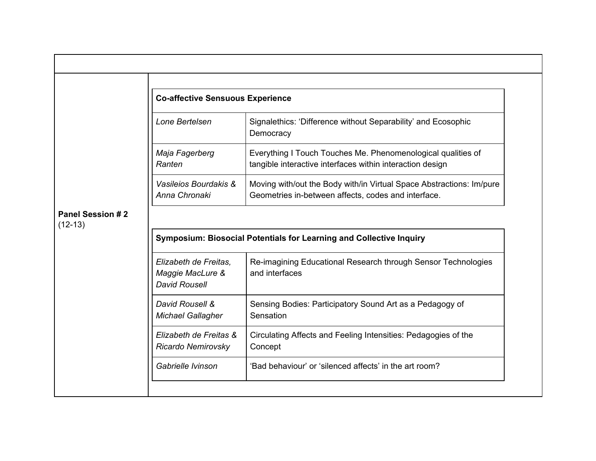|                               | <b>Co-affective Sensuous Experience</b>                           |                                                                                                                             |
|-------------------------------|-------------------------------------------------------------------|-----------------------------------------------------------------------------------------------------------------------------|
|                               | Lone Bertelsen                                                    | Signalethics: 'Difference without Separability' and Ecosophic<br>Democracy                                                  |
|                               | Maja Fagerberg<br>Ranten                                          | Everything I Touch Touches Me. Phenomenological qualities of<br>tangible interactive interfaces within interaction design   |
|                               | Vasileios Bourdakis &<br>Anna Chronaki                            | Moving with/out the Body with/in Virtual Space Abstractions: Im/pure<br>Geometries in-between affects, codes and interface. |
|                               |                                                                   |                                                                                                                             |
| Panel Session #2<br>$(12-13)$ |                                                                   | Symposium: Biosocial Potentials for Learning and Collective Inquiry                                                         |
|                               | Elizabeth de Freitas.<br>Maggie MacLure &<br><b>David Rousell</b> | Re-imagining Educational Research through Sensor Technologies<br>and interfaces                                             |
|                               | David Rousell &<br><b>Michael Gallagher</b>                       | Sensing Bodies: Participatory Sound Art as a Pedagogy of<br>Sensation                                                       |
|                               | Elizabeth de Freitas &<br><b>Ricardo Nemirovsky</b>               | Circulating Affects and Feeling Intensities: Pedagogies of the<br>Concept                                                   |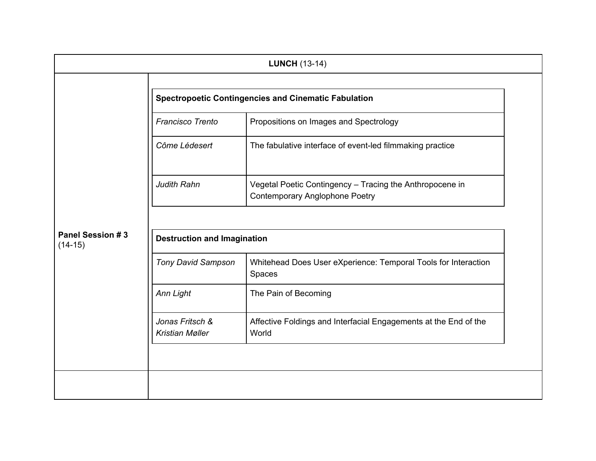|                               |                                                             | <b>LUNCH (13-14)</b>                                                                              |
|-------------------------------|-------------------------------------------------------------|---------------------------------------------------------------------------------------------------|
|                               | <b>Spectropoetic Contingencies and Cinematic Fabulation</b> |                                                                                                   |
|                               | Francisco Trento                                            | Propositions on Images and Spectrology                                                            |
|                               | Côme Lédesert                                               | The fabulative interface of event-led filmmaking practice                                         |
|                               | Judith Rahn                                                 | Vegetal Poetic Contingency - Tracing the Anthropocene in<br><b>Contemporary Anglophone Poetry</b> |
| Panel Session #3<br>$(14-15)$ | <b>Destruction and Imagination</b>                          |                                                                                                   |
|                               | <b>Tony David Sampson</b>                                   | Whitehead Does User eXperience: Temporal Tools for Interaction<br>Spaces                          |
|                               | Ann Light                                                   | The Pain of Becoming                                                                              |
|                               | Jonas Fritsch &<br>Kristian Møller                          | Affective Foldings and Interfacial Engagements at the End of the<br>World                         |
|                               |                                                             |                                                                                                   |
|                               |                                                             |                                                                                                   |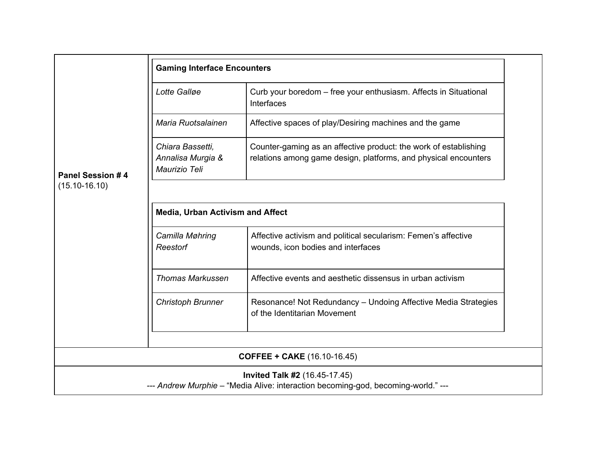|                                       | <b>Gaming Interface Encounters</b>                     |                                                                                                                                     |
|---------------------------------------|--------------------------------------------------------|-------------------------------------------------------------------------------------------------------------------------------------|
| Panel Session #4<br>$(15.10 - 16.10)$ | Lotte Galløe                                           | Curb your boredom - free your enthusiasm. Affects in Situational<br>Interfaces                                                      |
|                                       | Maria Ruotsalainen                                     | Affective spaces of play/Desiring machines and the game                                                                             |
|                                       | Chiara Bassetti.<br>Annalisa Murgia &<br>Maurizio Teli | Counter-gaming as an affective product: the work of establishing<br>relations among game design, platforms, and physical encounters |
|                                       | <b>Media, Urban Activism and Affect</b>                |                                                                                                                                     |
|                                       | Camilla Møhring<br>Reestorf                            | Affective activism and political secularism: Femen's affective<br>wounds, icon bodies and interfaces                                |
|                                       | <b>Thomas Markussen</b>                                | Affective events and aesthetic dissensus in urban activism                                                                          |
|                                       | <b>Christoph Brunner</b>                               | Resonance! Not Redundancy - Undoing Affective Media Strategies<br>of the Identitarian Movement                                      |
|                                       |                                                        |                                                                                                                                     |
|                                       |                                                        | <b>COFFEE + CAKE</b> (16.10-16.45)<br>Invited Talk #2 (16.45-17.45)                                                                 |
|                                       |                                                        | --- Andrew Murphie - "Media Alive: interaction becoming-god, becoming-world." ---                                                   |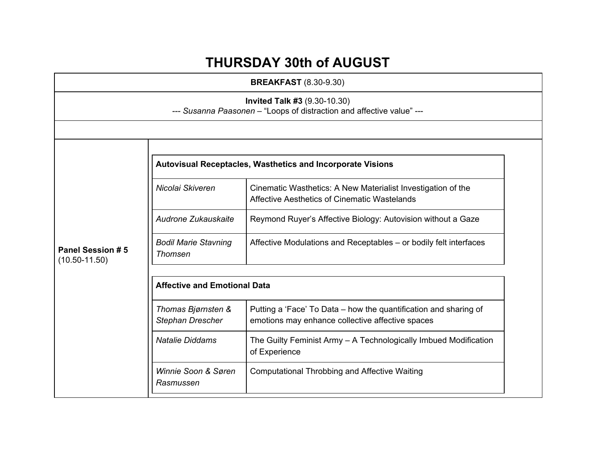## **THURSDAY 30th of AUGUST**

**BREAKFAST** (8.30-9.30)

**Invited Talk #3** (9.30-10.30)

*--- Susanna Paasonen –* "Loops of distraction and affective value" ---

|                                       | <b>Autovisual Receptacles, Wasthetics and Incorporate Visions</b> |                                                                                                                      |
|---------------------------------------|-------------------------------------------------------------------|----------------------------------------------------------------------------------------------------------------------|
|                                       | Nicolai Skiveren                                                  | Cinematic Wasthetics: A New Materialist Investigation of the<br>Affective Aesthetics of Cinematic Wastelands         |
|                                       | Audrone Zukauskaite                                               | Reymond Ruyer's Affective Biology: Autovision without a Gaze                                                         |
| Panel Session #5<br>$(10.50 - 11.50)$ | <b>Bodil Marie Stavning</b><br>Thomsen                            | Affective Modulations and Receptables – or bodily felt interfaces                                                    |
|                                       |                                                                   |                                                                                                                      |
|                                       | <b>Affective and Emotional Data</b>                               |                                                                                                                      |
|                                       | Thomas Bjørnsten &<br><b>Stephan Drescher</b>                     | Putting a 'Face' To Data – how the quantification and sharing of<br>emotions may enhance collective affective spaces |
|                                       | <b>Natalie Diddams</b>                                            | The Guilty Feminist Army - A Technologically Imbued Modification<br>of Experience                                    |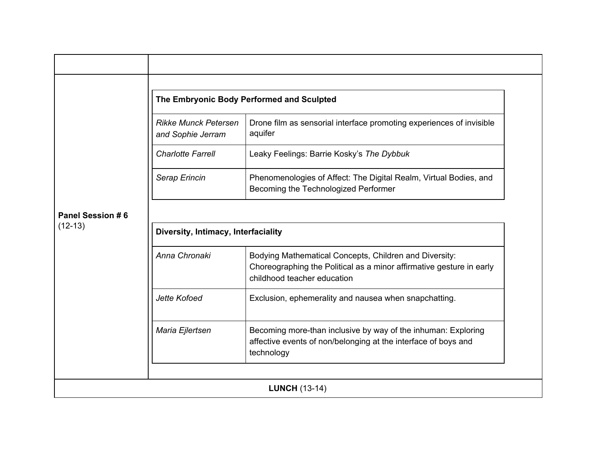|                               | The Embryonic Body Performed and Sculpted        |                                                                                                                                                               |  |
|-------------------------------|--------------------------------------------------|---------------------------------------------------------------------------------------------------------------------------------------------------------------|--|
|                               | <b>Rikke Munck Petersen</b><br>and Sophie Jerram | Drone film as sensorial interface promoting experiences of invisible<br>aquifer                                                                               |  |
|                               | <b>Charlotte Farrell</b>                         | Leaky Feelings: Barrie Kosky's The Dybbuk                                                                                                                     |  |
|                               | Serap Erincin                                    | Phenomenologies of Affect: The Digital Realm, Virtual Bodies, and<br>Becoming the Technologized Performer                                                     |  |
| Panel Session #6<br>$(12-13)$ | Diversity, Intimacy, Interfaciality              |                                                                                                                                                               |  |
|                               | Anna Chronaki                                    | Bodying Mathematical Concepts, Children and Diversity:<br>Choreographing the Political as a minor affirmative gesture in early<br>childhood teacher education |  |
|                               | Jette Kofoed                                     | Exclusion, ephemerality and nausea when snapchatting.                                                                                                         |  |
|                               | Maria Ejlertsen                                  | Becoming more-than inclusive by way of the inhuman: Exploring<br>affective events of non/belonging at the interface of boys and<br>technology                 |  |
|                               |                                                  | <b>LUNCH (13-14)</b>                                                                                                                                          |  |
|                               |                                                  |                                                                                                                                                               |  |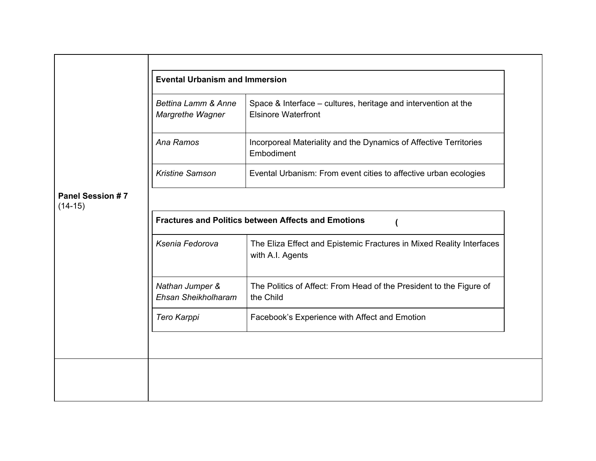|                               | Bettina Lamm & Anne<br>Margrethe Wagner | Space & Interface - cultures, heritage and intervention at the<br><b>Elsinore Waterfront</b> |  |  |
|-------------------------------|-----------------------------------------|----------------------------------------------------------------------------------------------|--|--|
|                               | Ana Ramos                               | Incorporeal Materiality and the Dynamics of Affective Territories<br>Embodiment              |  |  |
|                               | <b>Kristine Samson</b>                  | Evental Urbanism: From event cities to affective urban ecologies                             |  |  |
| Panel Session #7<br>$(14-15)$ |                                         |                                                                                              |  |  |
|                               |                                         | <b>Fractures and Politics between Affects and Emotions</b>                                   |  |  |
|                               | Ksenia Fedorova                         | The Eliza Effect and Epistemic Fractures in Mixed Reality Interfaces<br>with A.I. Agents     |  |  |
|                               | Nathan Jumper &<br>Ehsan Sheikholharam  | The Politics of Affect: From Head of the President to the Figure of<br>the Child             |  |  |
|                               | Tero Karppi                             | Facebook's Experience with Affect and Emotion                                                |  |  |